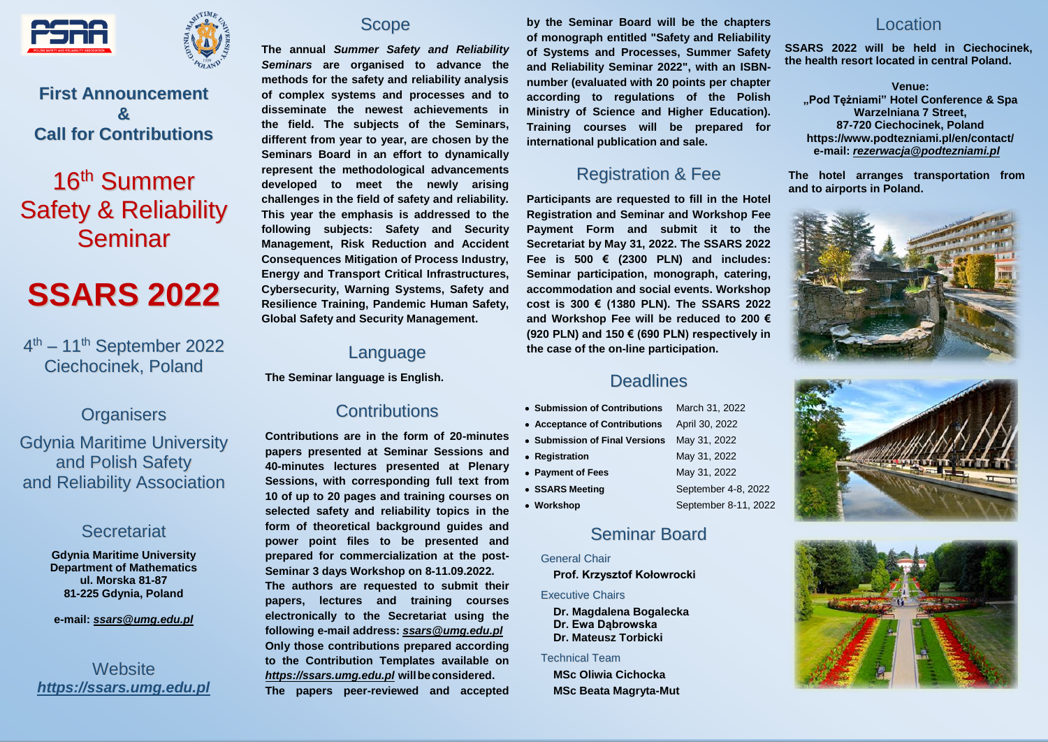



**First Announcement & Call for Contributions**

# 16<sup>th</sup> Summer Safety & Reliability Seminar

# **SSARS 2022**

4<sup>th</sup> – 11<sup>th</sup> September 2022 Ciechocinek, Poland

#### **Organisers**

Gdynia Maritime University and Polish Safety and Reliability Association

#### **Secretariat**

**Gdynia Maritime University Department of Mathematics ul. Morska 81-87 81-225 Gdynia, Poland**

**e-mail:** *[ssars@umg.edu.pl](mailto:ssars@umg.edu.pl)*

**Website** *[https://ssars.umg.edu.pl](https://ssars.umg.edu.pl/)*



**The annual** *Summer Safety and Reliability Seminars* **are organised to advance the methods for the safety and reliability analysis of complex systems and processes and to disseminate the newest achievements in the field. The subjects of the Seminars, different from year to year, are chosen by the Seminars Board in an effort to dynamically represent the methodological advancements developed to meet the newly arising challenges in the field of safety and reliability. This year the emphasis is addressed to the following subjects: Safety and Security Management, Risk Reduction and Accident Consequences Mitigation of Process Industry, Energy and Transport Critical Infrastructures, Cybersecurity, Warning Systems, Safety and Resilience Training, Pandemic Human Safety, Global Safety and Security Management.**

### Language

**The Seminar language is English.** 

#### **Contributions**

**Contributions are in the form of 20-minutes papers presented at Seminar Sessions and 40-minutes lectures presented at Plenary Sessions, with corresponding full text from 10 of up to 20 pages and training courses on selected safety and reliability topics in the form of theoretical background guides and power point files to be presented and prepared for commercialization at the post-Seminar 3 days Workshop on 8-11.09.2022. The authors are requested to submit their papers, lectures and training courses electronically to the Secretariat using the following e-mail address:** *[ssars@umg.edu.pl](mailto:ssars@umg.edu.pl)* **Only those contributions prepared according to the Contribution Templates available on** *https://ssars.umg.edu.pl* **willbeconsidered. The papers peer-reviewed and accepted** 

**by the Seminar Board will be the chapters of monograph entitled "Safety and Reliability of Systems and Processes, Summer Safety and Reliability Seminar 2022", with an ISBNnumber (evaluated with 20 points per chapter according to regulations of the Polish Ministry of Science and Higher Education). Training courses will be prepared for international publication and sale.** 

# Registration & Fee

**Participants are requested to fill in the Hotel Registration and Seminar and Workshop Fee Payment Form and submit it to the Secretariat by May 31, 2022. The SSARS 2022 Fee is 500 € (2300 PLN) and includes: Seminar participation, monograph, catering, accommodation and social events. Workshop cost is 300 € (1380 PLN). The SSARS 2022 and Workshop Fee will be reduced to 200 € (920 PLN) and 150 € (690 PLN) respectively in the case of the on-line participation.**

# **Deadlines**

| • Submission of Contributions  | March 31, 2022       |
|--------------------------------|----------------------|
| • Acceptance of Contributions  | April 30, 2022       |
| • Submission of Final Versions | May 31, 2022         |
| • Registration                 | May 31, 2022         |
| • Payment of Fees              | May 31, 2022         |
| • SSARS Meeting                | September 4-8, 2022  |
| • Workshop                     | September 8-11, 2022 |

### Seminar Board

General Chair

 **Prof. Krzysztof Kołowrocki**

Executive Chairs

 **Dr. Magdalena Bogalecka Dr. Ewa Dąbrowska Dr. Mateusz Torbicki**

#### Technical Team

 **MSc Oliwia Cichocka MSc Beata Magryta-Mut**

#### Location

**SSARS 2022 will be held in Ciechocinek, the health resort located in central Poland.**

**Venue: "Pod Tężniami" Hotel Conference & Spa Warzelniana 7 Street, 87-720 Ciechocinek, Poland <https://www.podtezniami.pl/en/contact/> e-mail:** *[rezerwacja@podtezniami.pl](mailto:rezerwacja@podtezniami.pl)*

**The hotel arranges transportation from and to airports in Poland.**